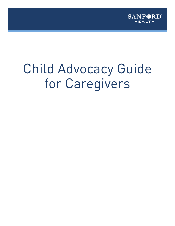

# Child Advocacy Guide for Caregivers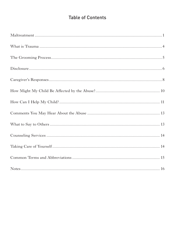# **Table of Contents**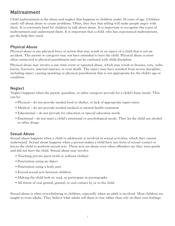# Maltreatment

Child maltreatment is the abuse and neglect that happens to children under 18 years of age. Children rarely tell about abuse to create problems. Often, they fear that telling will make people angry with them. It is extremely hard for children to talk about abuse. It is important to recognize the types of maltreatment and understand them. It is important that a child, who has experienced maltreatment, get the help they need.

## Physical Abuse

Physical abuse is any physical force or action that may result in an injury of a child that is not an accident. The parent or caregiver may not have intended to hurt the child. Physical abuse is most often connected to physical punishment and can be confused with child discipline.

Physical abuse may involve a one-time event or repeated abuse, which may result in bruises, cuts, welts, burns, fractures, internal injuries, or even death. The injury may have resulted from severe discipline, including injury causing spanking or physical punishment that is not appropriate for the child's age or condition.

## Neglect

Neglect happens when the parent, guardian, or other caregiver provide for a child's basic needs. This can be:

- Physical do not provide needed food or shelter, or lack of appropriate supervision
- Medical do not provide needed medical or mental health treatment
- Educational do not provide for education or special education needs
- Emotional do not meet a child's emotional or psychological needs. They let the child use alcohol or other drugs.

## Sexual Abuse

Sexual abuse happens when a child or adolescent is involved in sexual activities, which they cannot understand. Sexual abuse happens when a person makes a child have any form of sexual contact or forces the child to perform sexual acts. These acts are abuse even when offenders say they were gentle and did not hurt the child. Sexual abuse may involve:

- Touching private parts (with or without clothes)
- Penetration using an object
- Penetration using a body part
- Forced sexual acts between children
- Making the child look at, read, or participate in pornography
- All forms of oral genital, genital, or oral contact by or to the child

Sexual abuse is often overwhelming to children, especially when an adult is involved. Most children are taught to trust adults. They believe what adults tell them is true rather than rely on their own feelings.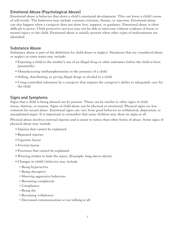## Emotional Abuse (Psychological Abuse)

Emotional abuse is behavior that slows a child's emotional development. This can lower a child's sense of self-worth. The behaviors may include constant criticism, threats, or rejection. Emotional abuse can also happen when a caregiver does not show love, support, or guidance. Emotional abuse is often difficult to prove. Child protective services may not be able to intervene without evidence of harm or mental injury to the child. Emotional abuse is usually present when other types of maltreatment are identified.

#### Substance Abuse

Substance abuse is part of the definition for child abuse or neglect. Situations that are considered abuse or neglect in some states may include:

- Exposing a child to the mother's use of an illegal drug or other substance before the child is born (prenatally)
- Manufacturing methamphetamine in the presence of a child
- Selling, distributing, or giving illegal drugs or alcohol to a child
- Using controlled substance by a caregiver that impairs the caregiver's ability to adequately care for the child

## Signs and Symptoms

Signs that a child is being abused can be present. These can be similar to other signs of child stress, distress, or trauma. Signs of child abuse can be physical or emotional. Physical signs are less common for sexual abuse. Emotional signs can vary from good behavior to withdrawal, depression, or unexplained anger. It is important to remember that some children may show no signs at all.

Physical abuse involves external injuries and is easier to notice than other forms of abuse. Some signs of physical abuse may include:

- Injuries that cannot be explained
- Repeated injuries
- Cigarette burns
- Friction burns
- Fractures that cannot be explained
- Wearing clothes to hide the injury (Example: long-sleeve shirts)
- Changes in child's behavior may include:
	- o Being hyperactive
	- o Being disruptive
	- o Showing aggressive behaviors
	- o Becoming complacent
	- o Compliance
	- o Being shy
	- o Becoming withdrawn
	- o Decreased communication or not talking at all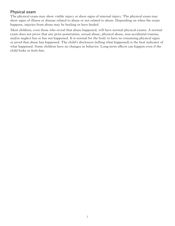## Physical exam

The physical exam may show visible injury or show signs of internal injury. The physical exam may show signs of illness or disease related to abuse or not related to abuse. Depending on when the exam happens, injuries from abuse may be healing or have healed.

Most children, even those who reveal that abuse happened, will have normal physical exams. A normal exam does not prove that any prior penetration, sexual abuse, physical abuse, non-accidental trauma, and/or neglect has or has not happened. It is normal for the body to have no remaining physical signs or proof that abuse has happened. The child's disclosure (telling what happened) is the best indicator of what happened. Some children have no changes in behavior. Long-term effects can happen even if the child looks or feels fine.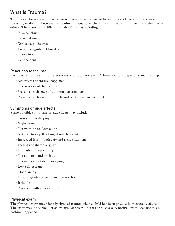# What is Trauma?

Trauma can be any event that, when witnessed or experienced by a child or adolescent, is extremely upsetting to them. These events are often in situations where the child feared for their life or the lives of others. There are many different kinds of trauma including:

- Physical abuse
- Sexual abuse
- Exposure to violence
- Loss of a significant loved one
- House fire
- Car accident

#### Reactions to trauma

Each person can react in different ways to a traumatic event. These reactions depend on many things:

- Age when the trauma happened
- The severity of the trauma
- Presence or absence of a supportive caregiver
- Presence or absence of a stable and nurturing environment

#### Symptoms or side effects

Some possible symptoms or side effects may include:

- Trouble with sleeping
- Nightmares
- Not wanting to sleep alone
- Not able to stop thinking about the event
- Increased fear in both safe and risky situations
- Feelings of shame or guilt
- Difficulty concentrating
- Not able to stand or sit still
- Thoughts about death or dying
- Low self-esteem
- Mood swings
- Drop in grades or performance at school
- Irritable
- Problems with anger control

#### Physical exam

The physical exam may identify signs of trauma when a child has been physically or sexually abused. The exam may be normal, or show signs of other illnesses or diseases. A normal exam does not mean nothing happened.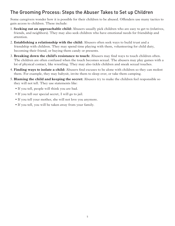# The Grooming Process: Steps the Abuser Takes to Set up Children

Some caregivers wonder how it is possible for their children to be abused. Offenders use many tactics to gain access to children. These include:

- 1. **Seeking out an approachable child:** Abusers usually pick children who are easy to get to (relatives, friends, and neighbors). They may also seek children who have emotional needs for friendship and attention.
- 2. **Establishing a relationship with the child:** Abusers often seek ways to build trust and a friendship with children. They may spend time playing with them, volunteering for child duty, becoming their friend, or buying them candy or presents.
- 3. **Breaking down the child's resistance to touch:** Abusers may find ways to touch children often. The children are often confused when the touch becomes sexual. The abusers may play games with a lot of physical contact, like wrestling. They may also tickle children and sneak sexual touches.
- 4. **Finding ways to isolate a child:** Abusers find excuses to be alone with children so they can molest them. For example, they may babysit, invite them to sleep over, or take them camping.
- 5. **Blaming the child and keeping the secret:** Abusers try to make the children feel responsible so they will not tell. They use statements like:
	- If you tell, people will think you are bad.
	- If you tell our special secret, I will go to jail.
	- If you tell your mother, she will not love you anymore.
	- If you tell, you will be taken away from your family.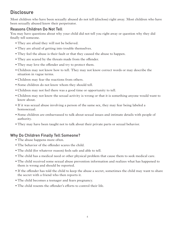# **Disclosure**

Most children who have been sexually abused do not tell (disclose) right away. Most children who have been sexually abused know their perpetrator.

## Reasons Children Do Not Tell

You may have questions about why your child did not tell you right away or question why they did finally tell someone.

- They are afraid they will not be believed.
- They are afraid of getting into trouble themselves.
- They feel the abuse is their fault or that they caused the abuse to happen.
- They are scared by the threats made from the offender.
- They may love the offender and try to protect them.
- Children may not know how to tell. They may not know correct words or may describe the situation in vague terms.
- Children may fear the reactions from others.
- Some children do not know whom they should tell.
- Children may not feel there was a good time or opportunity to tell.
- Children may not know the sexual activity is wrong or that it is something anyone would want to know about.
- If it was sexual abuse involving a person of the same sex, they may fear being labeled a homosexual.
- Some children are embarrassed to talk about sexual issues and intimate details with people of authority.
- They may have been taught not to talk about their private parts or sexual behavior.

## Why Do Children Finally Tell Someone?

- The abuse happens more often.
- The behavior of the offender scares the child.
- The child (for whatever reason) feels safe and able to tell.
- The child has a medical need or other physical problem that cause them to seek medical care.
- The child received some sexual abuse prevention information and realizes what has happened to them is wrong and should be reported.
- If the offender has told the child to keep the abuse a secret, sometimes the child may want to share the secret with a friend who then reports it.
- The child becomes a teenager and fears pregnancy.
- The child resents the offender's efforts to control their life.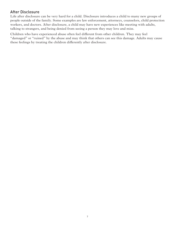## After Disclosure

Life after disclosure can be very hard for a child. Disclosure introduces a child to many new groups of people outside of the family. Some examples are law enforcement, attorneys, counselors, child protection workers, and doctors. After disclosure, a child may have new experiences like meeting with adults, talking to strangers, and being denied from seeing a person they may love and miss.

Children who have experienced abuse often feel different from other children. They may feel "damaged" or "ruined" by the abuse and may think that others can see this damage. Adults may cause these feelings by treating the children differently after disclosure.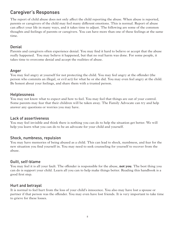# Caregiver's Responses

The report of child abuse does not only affect the child reporting the abuse. When abuse is reported, parents or caregivers of the child may feel many different emotions. This is normal. Report of abuse can affect your life in many ways, and it takes time to adjust. The following are some of the common thoughts and feelings of parents or caregivers. You can have more than one of these feelings at the same time.

#### Denial

Parents and caregivers often experience denial. You may find it hard to believe or accept that the abuse really happened. You may believe it happened, but that no real harm was done. For some people, it takes time to overcome denial and accept the realities of abuse.

#### Anger

You may feel angry at yourself for not protecting the child. You may feel angry at the offender (the person who commits an illegal, or evil act) for what he or she did. You may even feel angry at the child. Be honest about your feelings, and share them with a trusted person.

#### Helplessness

You may not know what to expect and how to feel. You may feel that things are out of your control. Some parents may fear that their children will be taken away. The Family Advocate can try and help answer any questions or worries you may have.

#### Lack of assertiveness

You may feel invisible and think there is nothing you can do to help the situation get better. We will help you learn what you can do to be an advocate for your child and yourself.

#### Shock, numbness, repulsion

You may have memories of being abused as a child. This can lead to shock, numbness, and fear for the new situation you find yourself in. You may need to seek counseling for yourself to recover from the abuse.

#### Guilt, self-blame

You may feel it is all your fault. The offender is responsible for the abuse, **not you**. The best thing you can do is support your child. Learn all you can to help make things better. Reading this handbook is a good first step.

#### Hurt and betrayal

It is normal to feel hurt from the loss of your child's innocence. You also may have lost a spouse or partner if that person was the offender. You may even have lost friends. It is very important to take time to grieve for these losses.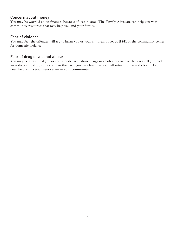#### Concern about money

You may be worried about finances because of lost income. The Family Advocate can help you with community resources that may help you and your family.

#### Fear of violence

You may fear the offender will try to harm you or your children. If so, **call 911** or the community center for domestic violence.

## Fear of drug or alcohol abuse

You may be afraid that you or the offender will abuse drugs or alcohol because of the stress. If you had an addiction to drugs or alcohol in the past, you may fear that you will return to the addiction. If you need help, call a treatment center in your community.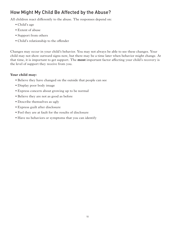# How Might My Child Be Affected by the Abuse?

All children react differently to the abuse. The responses depend on:

- Child's age
- Extent of abuse
- Support from others
- Child's relationship to the offender

Changes may occur in your child's behavior. You may not always be able to see these changes. Your child may not show outward signs now, but there may be a time later when behavior might change. At that time, it is important to get support. The **most** important factor affecting your child's recovery is the level of support they receive from you.

#### **Your child may:**

- Believe they have changed on the outside that people can see
- Display poor body image
- Express concern about growing up to be normal
- Believe they are not as good as before
- Describe themselves as ugly
- Express guilt after disclosure
- Feel they are at fault for the results of disclosure
- Have no behaviors or symptoms that you can identify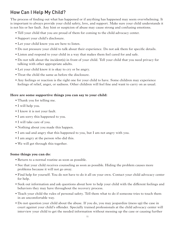# How Can I Help My Child?

The process of finding out what has happened or if anything has happened may seem overwhelming. It is important to always provide your child safety, love, and support. Make sure your child understands it is not his or her fault. Any hint or suspicion of abuse may cause strong and confusing emotions.

- Tell your child that you are proud of them for coming to the child advocacy center.
- Support your child's disclosure.
- Let your child know you are here to listen.
- Do not pressure your child to talk about their experience. Do not ask them for specific details.
- Listen and respond to your child in a way that makes them feel cared for and safe.
- Do not talk about the incident(s) in front of your child. Tell your child that you need privacy for talking with other appropriate adults.
- Let your child know it is okay to cry or be angry.
- Treat the child the same as before the disclosure.
- Any feelings or reaction is the right one for your child to have. Some children may experience feelings of relief, anger, or sadness. Other children will feel fine and want to carry on as usual.

#### **Here are some supportive things you can say to your child:**

- Thank you for telling me.
- I will help you.
- I know it is not your fault.
- I am sorry this happened to you.
- I will take care of you.
- Nothing about you made this happen.
- I am sad and angry that this happened to you, but I am not angry with you.
- I am angry at the person who did this.
- We will get through this together.

#### **Some things you can do:**

- Return to a normal routine as soon as possible.
- See that your child receives counseling as soon as possible. Hiding the problem causes more problems because it will not go away.
- Find help for yourself. You do not have to do it all on your own. Contact your child advocacy center for help.
- Seek out information and ask questions about how to help your child with the different feelings and behaviors they may have throughout the recovery process.
- Teach your child the rules of personal safety. Tell them what to do if someone tries to touch them in an uncomfortable way.
- Do not question your child about the abuse. If you do, you may jeopardize (mess up) the case in court against your child's offender. Specially trained professionals at the child advocacy center will interview your child to get the needed information without messing up the case or causing further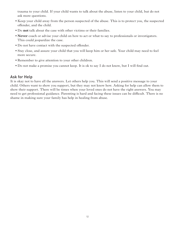trauma to your child. If your child wants to talk about the abuse, listen to your child, but do not ask more questions.

- Keep your child away from the person suspected of the abuse. This is to protect you, the suspected offender, and the child.
- Do **not** talk about the case with other victims or their families.
- **Never** coach or advise your child on how to act or what to say to professionals or investigators. This could jeopardize the case.
- Do not have contact with the suspected offender.
- Stay close, and assure your child that you will keep him or her safe. Your child may need to feel more secure.
- Remember to give attention to your other children.
- Do not make a promise you cannot keep. It is ok to say I do not know, but I will find out.

#### Ask for Help

It is okay not to have all the answers. Let others help you. This will send a positive message to your child. Others want to show you support, but they may not know how. Asking for help can allow them to show their support. There will be times when your loved ones do not have the right answers. You may need to get professional guidance. Parenting is hard and facing these issues can be difficult. There is no shame in making sure your family has help in healing from abuse.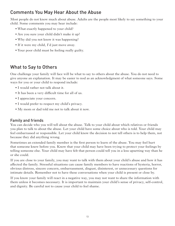# Comments You May Hear About the Abuse

Most people do not know much about abuse. Adults are the people most likely to say something to your child. Some comments you may hear include:

- What exactly happened to your child?
- Are you sure your child didn't make it up?
- Why did you not know it was happening?
- If it were my child, I'd just move away.
- Your poor child must be feeling really guilty.

# What to Say to Others

One challenge your family will face will be what to say to others about the abuse. You do not need to give anyone an explanation. It may be easier to nod as an acknowledgment of what someone says. Some ways for you or your child to respond include:

- I would rather not talk about it.
- It has been a very difficult time for all of us.
- I appreciate your concern.
- I would prefer to respect my child's privacy.
- My mom or dad told me not to talk about it now.

## Family and friends

You can decide who you will tell about the abuse. Talk to your child about which relatives or friends you plan to talk to about the abuse. Let your child have some choice about who is told. Your child may feel embarrassed or responsible. Let your child know the decision to not tell others is to help them, not because they did anything wrong.

Sometimes an extended family member is the first person to learn of the abuse. You may feel hurt that someone knew before you. Know that your child may have been trying to protect your feelings by telling someone else. Your child may have felt that person could tell you in a less upsetting way than he or she could.

If you are close to your family, you may want to talk with them about your child's abuse and how it has affected the family. Stressful situations can cause family members to have reactions of hysteria, horror, obvious distress, sincere concern, embarrassment, disgust, disinterest, or unnecessary questions for intimate details. Remember not to have these conversations when your child is present or close by.

If you know your family will react in a negative way, you may not want to share the information with them unless it becomes necessary. It is important to maintain your child's sense of privacy, self-control, and dignity. Be careful not to cause your child to feel shame.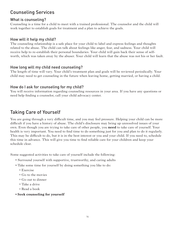# Counseling Services

#### What is counseling?

Counseling is a time for a child to meet with a trained professional. The counselor and the child will work together to establish goals for treatment and a plan to achieve the goals.

### How will it help my child?

The counseling relationship is a safe place for your child to label and express feelings and thoughts related to the abuse. The child can talk about feelings like anger, fear, and sadness. Your child will receive help to re-establish their personal boundaries. Your child will gain back their sense of selfworth, which was taken away by the abuser. Your child will learn that the abuse was not his or her fault.

#### How long will my child need counseling?

The length of time will vary. Your child's treatment plan and goals will be reviewed periodically. Your child may need to get counseling in the future when leaving home, getting married, or having a child.

#### How do I ask for counseling for my child?

You will receive information regarding counseling resources in your area. If you have any questions or need help finding a counselor, call your child advocacy center.

# Taking Care of Yourself

You are going through a very difficult time, and you may feel pressure. Helping your child can be more difficult if you have a history of abuse. The child's disclosure may bring up unresolved issues of your own. Even though you are trying to take care of other people, you **need** to take care of yourself. Your health is very important. You need to find time to do something just for you and plan to do it regularly. This may be difficult to do, but it is in the best interest or you and your child. If you need to, schedule this time in advance. This will give you time to find reliable care for your children and keep your schedule clear.

Some suggested activities to take care of yourself include the following:

- Surround yourself with supportive, trustworthy, and caring adults
- Take some time for yourself by doing something you like to do:
	- o Exercise
	- o Go to the movies
	- o Go out to dinner
	- o Take a drive
	- o Read a book
- **Seek counseling for yourself**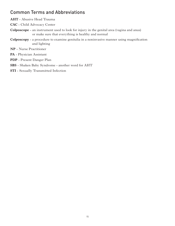## Common Terms and Abbreviations

- **AHT** Abusive Head Trauma
- **CAC** Child Advocacy Center
- **Colposcope** an instrument used to look for injury in the genital area (vagina and anus) or make sure that everything is healthy and normal
- **Colposcopy** a procedure to examine genitalia in a noninvasive manner using magnification and lighting
- **NP** Nurse Practitioner
- **PA** Physician Assistant
- **PDP** Present Danger Plan
- **SBS** Shaken Baby Syndrome another word for AHT
- **STI** Sexually Transmitted Infection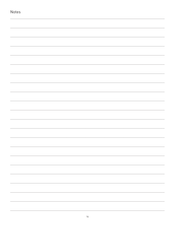| Notes |  |
|-------|--|
|       |  |
|       |  |
|       |  |
|       |  |
|       |  |
|       |  |
|       |  |
|       |  |
|       |  |
|       |  |
|       |  |
|       |  |
|       |  |
|       |  |
|       |  |
|       |  |
|       |  |
|       |  |
|       |  |
|       |  |
|       |  |